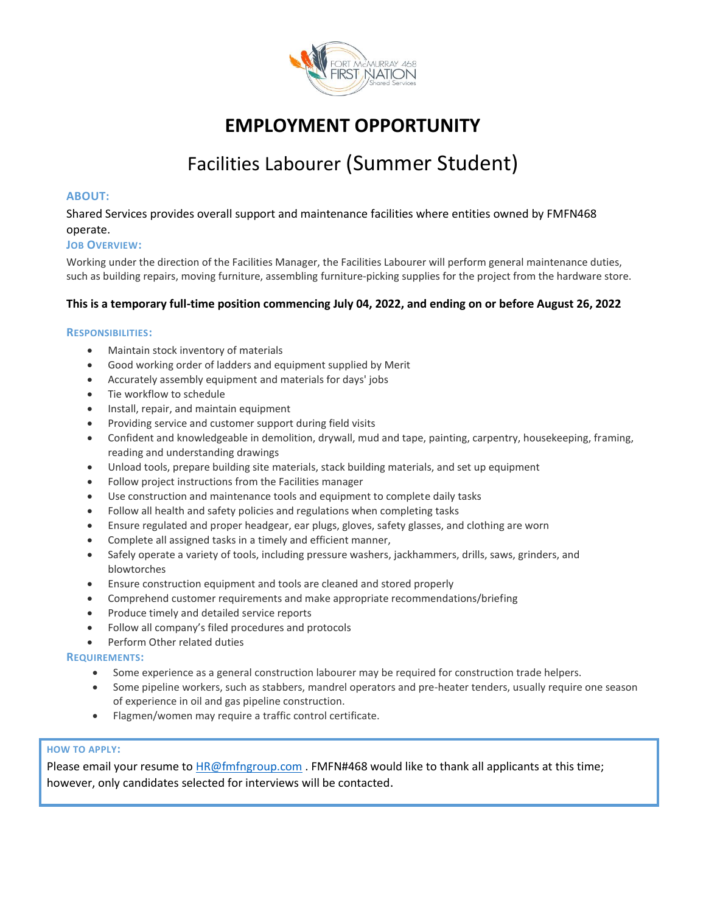

# **EMPLOYMENT OPPORTUNITY**

# Facilities Labourer (Summer Student)

# **ABOUT:**

Shared Services provides overall support and maintenance facilities where entities owned by FMFN468 operate.

## **JOB OVERVIEW:**

Working under the direction of the Facilities Manager, the Facilities Labourer will perform general maintenance duties, such as building repairs, moving furniture, assembling furniture-picking supplies for the project from the hardware store.

# **This is a temporary full-time position commencing July 04, 2022, and ending on or before August 26, 2022**

## **RESPONSIBILITIES:**

- Maintain stock inventory of materials
- Good working order of ladders and equipment supplied by Merit
- Accurately assembly equipment and materials for days' jobs
- Tie workflow to schedule
- Install, repair, and maintain equipment
- Providing service and customer support during field visits
- Confident and knowledgeable in demolition, drywall, mud and tape, painting, carpentry, housekeeping, framing, reading and understanding drawings
- Unload tools, prepare building site materials, stack building materials, and set up equipment
- Follow project instructions from the Facilities manager
- Use construction and maintenance tools and equipment to complete daily tasks
- Follow all health and safety policies and regulations when completing tasks
- Ensure regulated and proper headgear, ear plugs, gloves, safety glasses, and clothing are worn
- Complete all assigned tasks in a timely and efficient manner,
- Safely operate a variety of tools, including pressure washers, jackhammers, drills, saws, grinders, and blowtorches
- Ensure construction equipment and tools are cleaned and stored properly
- Comprehend customer requirements and make appropriate recommendations/briefing
- Produce timely and detailed service reports
- Follow all company's filed procedures and protocols
- Perform Other related duties

#### **REQUIREMENTS:**

- Some experience as a general construction labourer may be required for construction trade helpers.
- Some pipeline workers, such as stabbers, mandrel operators and pre-heater tenders, usually require one season of experience in oil and gas pipeline construction.
- Flagmen/women may require a traffic control certificate.

## **HOW TO APPLY:**

Please email your resume to [HR@fmfngroup.com](mailto:HR@fmfngroup.com). FMFN#468 would like to thank all applicants at this time; however, only candidates selected for interviews will be contacted.